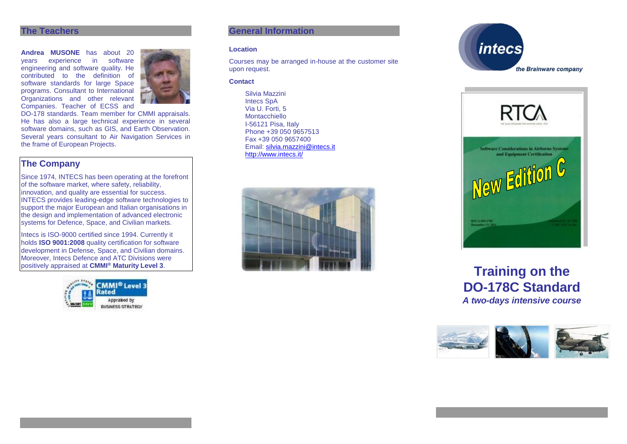#### **The Teachers**

**Andrea MUSONE** has about 20 vears experience in software years experience in engineering and software quality. He contributed to the definition of software standards for large Space programs. Consultant to International Organizations and other relevant Companies. Teacher of ECSS and



DO-178 standards. Team member for CMMI appraisals. He has also a large technical experience in several software domains, such as GIS, and Earth Observation. Several years consultant to Air Navigation Services in the frame of European Projects.

# **The Company**

Since 1974, INTECS has been operating at the forefront of the software market, where safety, reliability, innovation, and quality are essential for success. INTECS provides leading-edge software technologies to support the major European and Italian organisations in the design and implementation of advanced electronic systems for Defence, Space, and Civilian markets.

Intecs is ISO-9000 certified since 1994. Currently it holds **ISO 9001:2008** quality certification for software development in Defense, Space, and Civilian domains. Moreover, Intecs Defence and ATC Divisions were positively appraised at **CMMI® Maturity Level 3**.



# **General Information**

#### **Location**

Courses may be arranged in-house at the customer site upon request.

#### **Contact**

Silvia Mazzini Intecs SpA Via U. Forti, 5 Montacchiello I-56121 Pisa, Italy Phone +39 050 9657513 Fax +39 050 9657400 Email: [silvia.mazzini@intecs.it](mailto:andrea.musone@intecs.it) <http://www.intecs.it/>







# **Training on the DO-178C Standard** *A two-days intensive course*